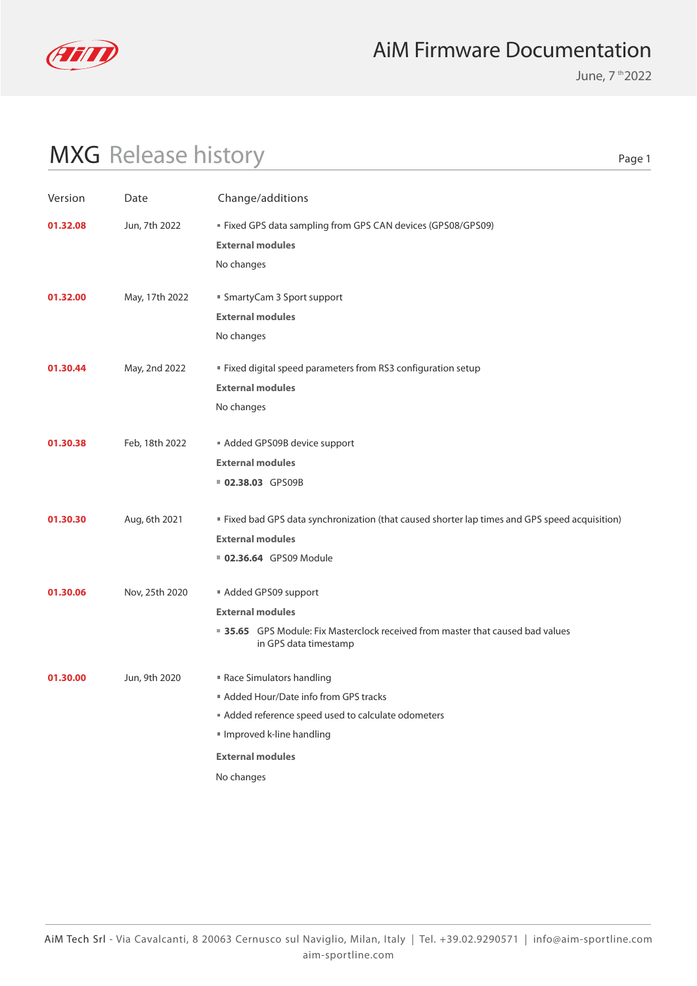

June, 7 th 2022

# MXG Release history

| Version  | Date           | Change/additions                                                                                       |
|----------|----------------|--------------------------------------------------------------------------------------------------------|
| 01.32.08 | Jun, 7th 2022  | ■ Fixed GPS data sampling from GPS CAN devices (GPS08/GPS09)                                           |
|          |                | <b>External modules</b>                                                                                |
|          |                | No changes                                                                                             |
|          |                |                                                                                                        |
| 01.32.00 | May, 17th 2022 | ■ SmartyCam 3 Sport support                                                                            |
|          |                | <b>External modules</b>                                                                                |
|          |                | No changes                                                                                             |
| 01.30.44 | May, 2nd 2022  | " Fixed digital speed parameters from RS3 configuration setup                                          |
|          |                | <b>External modules</b>                                                                                |
|          |                | No changes                                                                                             |
| 01.30.38 | Feb, 18th 2022 | Added GPS09B device support                                                                            |
|          |                | <b>External modules</b>                                                                                |
|          |                | 02.38.03 GPS09B                                                                                        |
|          |                |                                                                                                        |
| 01.30.30 | Aug, 6th 2021  | " Fixed bad GPS data synchronization (that caused shorter lap times and GPS speed acquisition)         |
|          |                | <b>External modules</b>                                                                                |
|          |                | <b>02.36.64</b> GPS09 Module                                                                           |
| 01.30.06 | Nov, 25th 2020 | Added GPS09 support                                                                                    |
|          |                | <b>External modules</b>                                                                                |
|          |                | 35.65 GPS Module: Fix Masterclock received from master that caused bad values<br>in GPS data timestamp |
| 01.30.00 | Jun, 9th 2020  | Race Simulators handling                                                                               |
|          |                | Added Hour/Date info from GPS tracks                                                                   |
|          |                | Added reference speed used to calculate odometers                                                      |
|          |                | Improved k-line handling                                                                               |
|          |                | <b>External modules</b>                                                                                |
|          |                | No changes                                                                                             |
|          |                |                                                                                                        |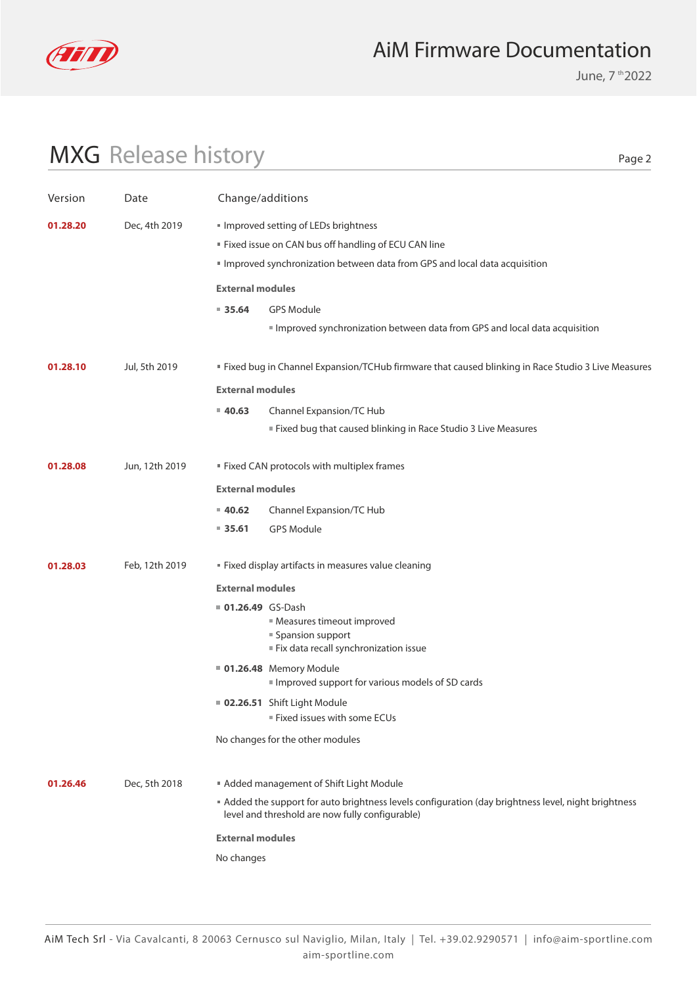

June, 7 th 2022

# MXG Release history

| Version  | Date           | Change/additions                                                                                                      |                                                                                                     |  |
|----------|----------------|-----------------------------------------------------------------------------------------------------------------------|-----------------------------------------------------------------------------------------------------|--|
| 01.28.20 | Dec, 4th 2019  | Improved setting of LEDs brightness<br>" Fixed issue on CAN bus off handling of ECU CAN line                          | Improved synchronization between data from GPS and local data acquisition                           |  |
|          |                | <b>External modules</b>                                                                                               |                                                                                                     |  |
|          |                | 935.64<br><b>GPS Module</b>                                                                                           | Improved synchronization between data from GPS and local data acquisition                           |  |
| 01.28.10 | Jul, 5th 2019  |                                                                                                                       | " Fixed bug in Channel Expansion/TCHub firmware that caused blinking in Race Studio 3 Live Measures |  |
|          |                | <b>External modules</b>                                                                                               |                                                                                                     |  |
|          |                | 40.63<br>Channel Expansion/TC Hub                                                                                     |                                                                                                     |  |
|          |                |                                                                                                                       | Fixed bug that caused blinking in Race Studio 3 Live Measures                                       |  |
| 01.28.08 | Jun, 12th 2019 | " Fixed CAN protocols with multiplex frames                                                                           |                                                                                                     |  |
|          |                | <b>External modules</b>                                                                                               |                                                                                                     |  |
|          |                | 40.62<br>Channel Expansion/TC Hub                                                                                     |                                                                                                     |  |
|          |                | $= 35.61$<br><b>GPS Module</b>                                                                                        |                                                                                                     |  |
| 01.28.03 | Feb, 12th 2019 | " Fixed display artifacts in measures value cleaning                                                                  |                                                                                                     |  |
|          |                | <b>External modules</b>                                                                                               |                                                                                                     |  |
|          |                | ■ 01.26.49 GS-Dash<br><b>Measures timeout improved</b><br>■ Spansion support<br>Fix data recall synchronization issue |                                                                                                     |  |
|          |                | <b>01.26.48</b> Memory Module                                                                                         | Improved support for various models of SD cards                                                     |  |
|          |                | <b>02.26.51</b> Shift Light Module                                                                                    |                                                                                                     |  |
|          |                | Fixed issues with some ECUs                                                                                           |                                                                                                     |  |
|          |                | No changes for the other modules                                                                                      |                                                                                                     |  |
| 01.26.46 | Dec, 5th 2018  | Added management of Shift Light Module                                                                                |                                                                                                     |  |
|          |                | level and threshold are now fully configurable)                                                                       | Added the support for auto brightness levels configuration (day brightness level, night brightness  |  |
|          |                | <b>External modules</b>                                                                                               |                                                                                                     |  |
|          |                | No changes                                                                                                            |                                                                                                     |  |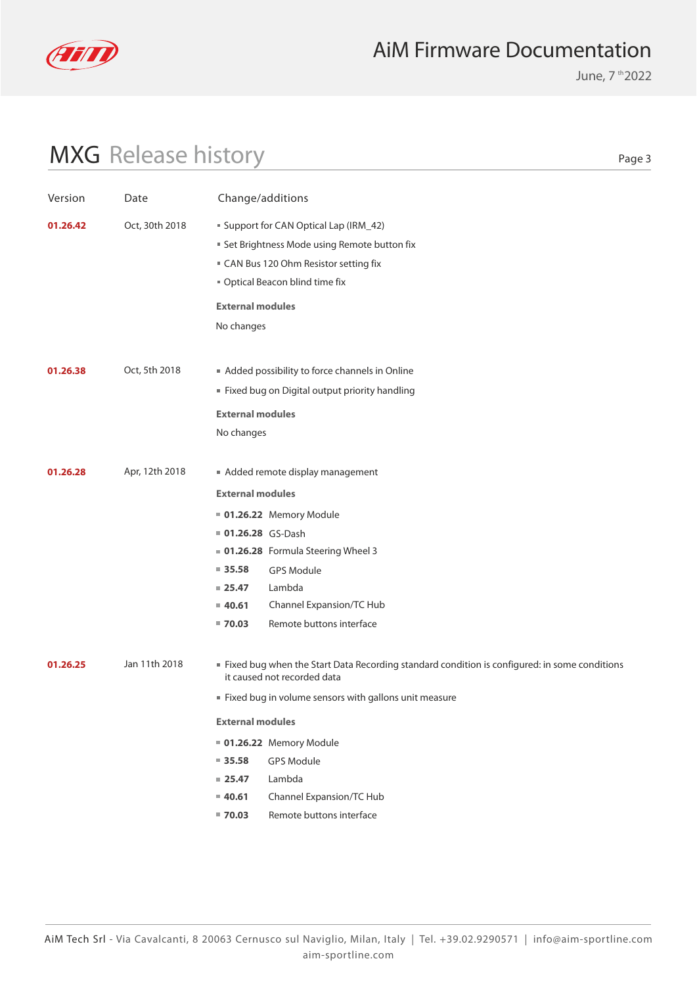

June, 7 th 2022

# MXG Release history

| Version  | Date           | Change/additions                                                                                                                                                                                                                                                                                                                                                            |
|----------|----------------|-----------------------------------------------------------------------------------------------------------------------------------------------------------------------------------------------------------------------------------------------------------------------------------------------------------------------------------------------------------------------------|
| 01.26.42 | Oct, 30th 2018 | <b>Support for CAN Optical Lap (IRM_42)</b><br><b>Set Brightness Mode using Remote button fix</b><br>■ CAN Bus 120 Ohm Resistor setting fix<br>" Optical Beacon blind time fix<br><b>External modules</b><br>No changes                                                                                                                                                     |
| 01.26.38 | Oct, 5th 2018  | Added possibility to force channels in Online<br>" Fixed bug on Digital output priority handling<br><b>External modules</b><br>No changes                                                                                                                                                                                                                                   |
| 01.26.28 | Apr, 12th 2018 | Added remote display management<br><b>External modules</b><br><b>01.26.22</b> Memory Module<br><b>01.26.28</b> GS-Dash<br>01.26.28 Formula Steering Wheel 3<br>$\blacksquare$ 35.58<br><b>GPS Module</b><br>Lambda<br>$= 25.47$<br>Channel Expansion/TC Hub<br>$= 40.61$<br>Remote buttons interface<br>$= 70.03$                                                           |
| 01.26.25 | Jan 11th 2018  | If Fixed bug when the Start Data Recording standard condition is configured: in some conditions<br>it caused not recorded data<br>" Fixed bug in volume sensors with gallons unit measure<br><b>External modules</b><br>01.26.22 Memory Module<br>935.58<br>GPS Module<br>Lambda<br>$= 25.47$<br>Channel Expansion/TC Hub<br>40.61<br>Remote buttons interface<br>$= 70.03$ |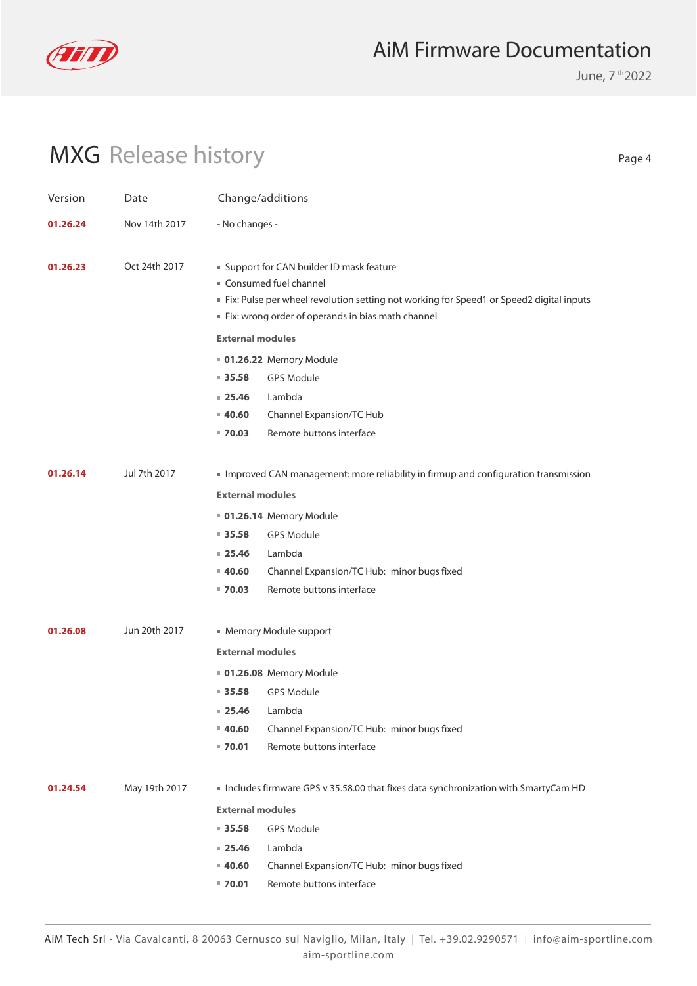

June, 7 th 2022

# MXG Release history

| Version  | Date          |                         | Change/additions                                                                        |
|----------|---------------|-------------------------|-----------------------------------------------------------------------------------------|
| 01.26.24 | Nov 14th 2017 | - No changes -          |                                                                                         |
|          |               |                         |                                                                                         |
| 01.26.23 | Oct 24th 2017 |                         | ■ Support for CAN builder ID mask feature                                               |
|          |               |                         | Consumed fuel channel                                                                   |
|          |               |                         | Fix: Pulse per wheel revolution setting not working for Speed1 or Speed2 digital inputs |
|          |               |                         | Fix: wrong order of operands in bias math channel                                       |
|          |               | <b>External modules</b> |                                                                                         |
|          |               |                         | <b>01.26.22 Memory Module</b>                                                           |
|          |               | $= 35.58$               | <b>GPS Module</b>                                                                       |
|          |               | $= 25.46$               | Lambda                                                                                  |
|          |               | $= 40.60$               | Channel Expansion/TC Hub                                                                |
|          |               | $= 70.03$               | Remote buttons interface                                                                |
| 01.26.14 | Jul 7th 2017  |                         | Improved CAN management: more reliability in firmup and configuration transmission      |
|          |               |                         |                                                                                         |
|          |               | <b>External modules</b> |                                                                                         |
|          |               |                         | <b>01.26.14 Memory Module</b>                                                           |
|          |               | $= 35.58$               | <b>GPS Module</b>                                                                       |
|          |               | $= 25.46$               | Lambda                                                                                  |
|          |               | $= 40.60$               | Channel Expansion/TC Hub: minor bugs fixed                                              |
|          |               | $= 70.03$               | Remote buttons interface                                                                |
| 01.26.08 | Jun 20th 2017 |                         | ■ Memory Module support                                                                 |
|          |               | <b>External modules</b> |                                                                                         |
|          |               |                         |                                                                                         |
|          |               |                         | <b>01.26.08 Memory Module</b>                                                           |
|          |               | $= 35.58$               | <b>GPS Module</b>                                                                       |
|          |               | $= 25.46$               | Lambda                                                                                  |
|          |               | $= 40.60$               | Channel Expansion/TC Hub: minor bugs fixed                                              |
|          |               | $= 70.01$               | Remote buttons interface                                                                |
| 01.24.54 | May 19th 2017 |                         | Includes firmware GPS v 35.58.00 that fixes data synchronization with SmartyCam HD      |
|          |               | <b>External modules</b> |                                                                                         |
|          |               | $= 35.58$               | <b>GPS Module</b>                                                                       |
|          |               | $= 25.46$               | Lambda                                                                                  |
|          |               | $= 40.60$               | Channel Expansion/TC Hub: minor bugs fixed                                              |
|          |               | $= 70.01$               | Remote buttons interface                                                                |
|          |               |                         |                                                                                         |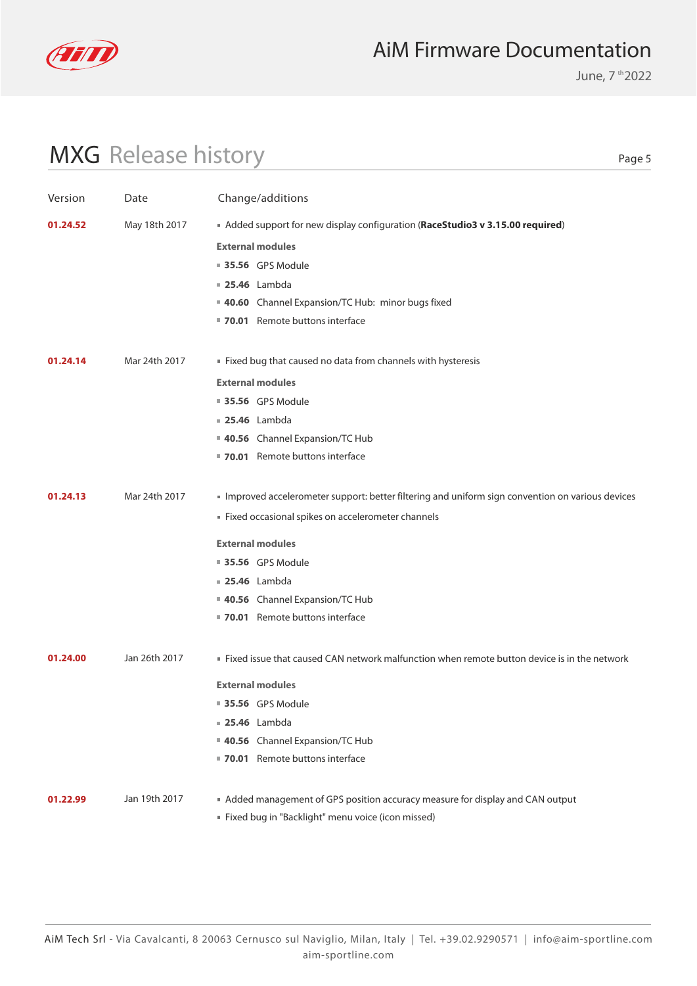

June, 7 th 2022

# MXG Release history

| Version  | Date          | Change/additions                                                                                |
|----------|---------------|-------------------------------------------------------------------------------------------------|
| 01.24.52 | May 18th 2017 | Added support for new display configuration (RaceStudio3 v 3.15.00 required)                    |
|          |               | <b>External modules</b>                                                                         |
|          |               | <b>35.56</b> GPS Module                                                                         |
|          |               | <b>25.46</b> Lambda                                                                             |
|          |               | 40.60 Channel Expansion/TC Hub: minor bugs fixed                                                |
|          |               | 70.01 Remote buttons interface                                                                  |
| 01.24.14 | Mar 24th 2017 | Fixed bug that caused no data from channels with hysteresis                                     |
|          |               | <b>External modules</b>                                                                         |
|          |               | <b>35.56</b> GPS Module                                                                         |
|          |               | <b>25.46</b> Lambda                                                                             |
|          |               | 40.56 Channel Expansion/TC Hub                                                                  |
|          |               | 70.01 Remote buttons interface                                                                  |
| 01.24.13 | Mar 24th 2017 | Improved accelerometer support: better filtering and uniform sign convention on various devices |
|          |               | Fixed occasional spikes on accelerometer channels                                               |
|          |               | <b>External modules</b>                                                                         |
|          |               | <b>35.56</b> GPS Module                                                                         |
|          |               | <b>25.46</b> Lambda                                                                             |
|          |               | 40.56 Channel Expansion/TC Hub                                                                  |
|          |               | ■ 70.01 Remote buttons interface                                                                |
| 01.24.00 | Jan 26th 2017 | . Fixed issue that caused CAN network malfunction when remote button device is in the network   |
|          |               | <b>External modules</b>                                                                         |
|          |               | ■ 35.56 GPS Module                                                                              |
|          |               | <b>25.46</b> Lambda                                                                             |
|          |               | 40.56 Channel Expansion/TC Hub                                                                  |
|          |               | 70.01 Remote buttons interface                                                                  |
| 01.22.99 | Jan 19th 2017 | Added management of GPS position accuracy measure for display and CAN output                    |
|          |               | " Fixed bug in "Backlight" menu voice (icon missed)                                             |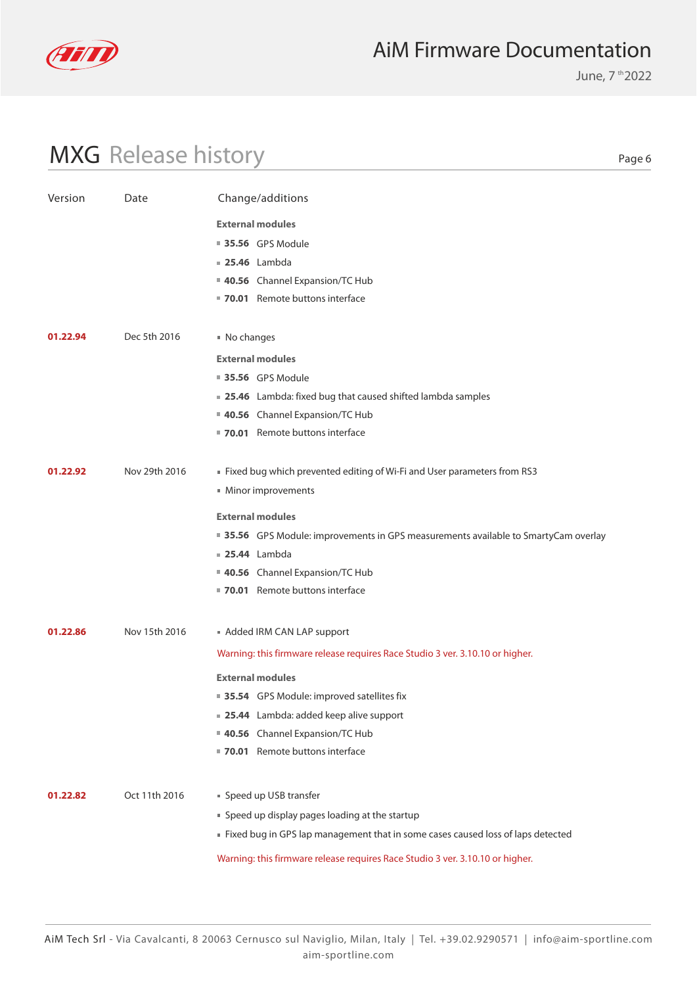

June, 7 th 2022

# MXG Release history

| Version  | Date          | Change/additions                                                                    |
|----------|---------------|-------------------------------------------------------------------------------------|
|          |               | <b>External modules</b>                                                             |
|          |               | <b>35.56</b> GPS Module                                                             |
|          |               | <b>25.46</b> Lambda                                                                 |
|          |               | 40.56 Channel Expansion/TC Hub                                                      |
|          |               | ■ 70.01 Remote buttons interface                                                    |
|          |               |                                                                                     |
| 01.22.94 | Dec 5th 2016  | ■ No changes                                                                        |
|          |               | <b>External modules</b>                                                             |
|          |               | <b>35.56</b> GPS Module                                                             |
|          |               | ■ 25.46 Lambda: fixed bug that caused shifted lambda samples                        |
|          |               | 40.56 Channel Expansion/TC Hub                                                      |
|          |               | " 70.01 Remote buttons interface                                                    |
| 01.22.92 | Nov 29th 2016 | Fixed bug which prevented editing of Wi-Fi and User parameters from RS3             |
|          |               | Minor improvements                                                                  |
|          |               | <b>External modules</b>                                                             |
|          |               | ■ 35.56 GPS Module: improvements in GPS measurements available to SmartyCam overlay |
|          |               | <b>25.44</b> Lambda                                                                 |
|          |               | 40.56 Channel Expansion/TC Hub                                                      |
|          |               | 70.01 Remote buttons interface                                                      |
|          |               |                                                                                     |
| 01.22.86 | Nov 15th 2016 | Added IRM CAN LAP support                                                           |
|          |               | Warning: this firmware release requires Race Studio 3 ver. 3.10.10 or higher.       |
|          |               | <b>External modules</b>                                                             |
|          |               | ■ 35.54 GPS Module: improved satellites fix                                         |
|          |               | <b>25.44</b> Lambda: added keep alive support                                       |
|          |               | 40.56 Channel Expansion/TC Hub                                                      |
|          |               | 70.01 Remote buttons interface                                                      |
|          |               |                                                                                     |
| 01.22.82 | Oct 11th 2016 | Speed up USB transfer                                                               |
|          |               | " Speed up display pages loading at the startup                                     |
|          |               | Fixed bug in GPS lap management that in some cases caused loss of laps detected     |
|          |               | Warning: this firmware release requires Race Studio 3 ver. 3.10.10 or higher.       |
|          |               |                                                                                     |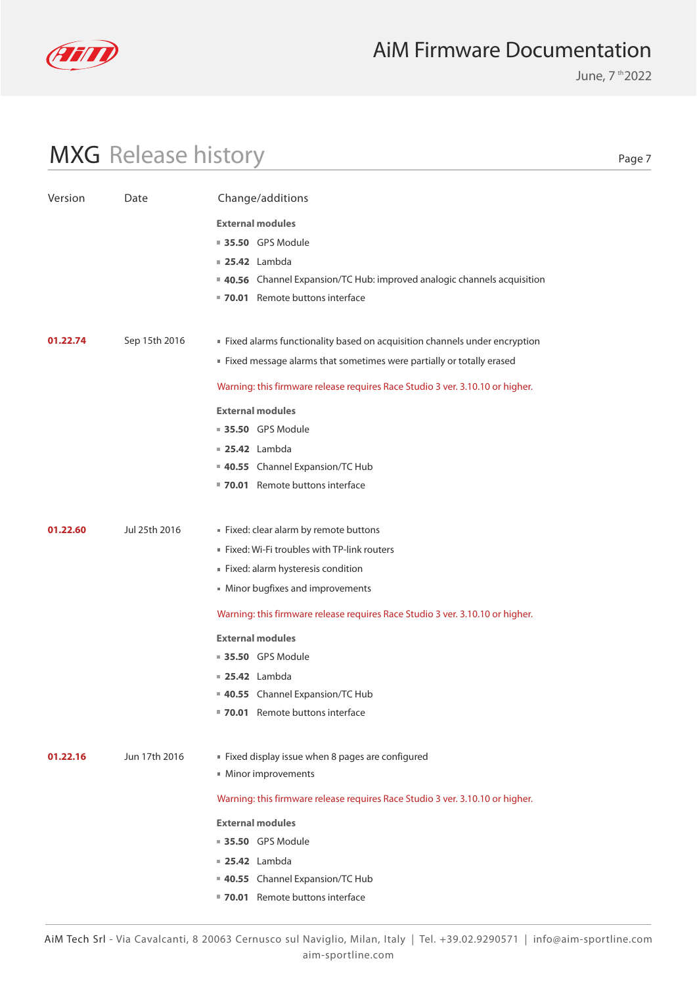

MXG Release history

### AiM Firmware Documentation

June, 7 th 2022

Page 7

#### Version Date Change/additions **40.55** Channel Expansion/TC Hub **70.01** Remote buttons interface  **25.42** Lambda **35.50** GPS Module **External modules External modules 01.22.60 01.22.74** Jul 25th 2016 Sep 15th 2016 Warning: this firmware release requires Race Studio 3 ver. 3.10.10 or higher. Warning: this firmware release requires Race Studio 3 ver. 3.10.10 or higher. Fixed: clear alarm by remote buttons Fixed alarms functionality based on acquisition channels under encryption Fixed: Wi-Fi troubles with TP-link routers Fixed message alarms that sometimes were partially or totally erased Fixed: alarm hysteresis condition Minor bugfixes and improvements **40.56** Channel Expansion/TC Hub: improved analogic channels acquisition **70.01** Remote buttons interface  **25.42** Lambda **35.50** GPS Module **External modules**

- **35.50** GPS Module
- **25.42** Lambda
- **40.55** Channel Expansion/TC Hub
- **70.01** Remote buttons interface
- **01.22.16** Jun 17th 2016 Fixed display issue when 8 pages are configured
	- Minor improvements

Warning: this firmware release requires Race Studio 3 ver. 3.10.10 or higher.

- **External modules**
- **35.50** GPS Module
- **25.42** Lambda
- **40.55** Channel Expansion/TC Hub
	- **70.01** Remote buttons interface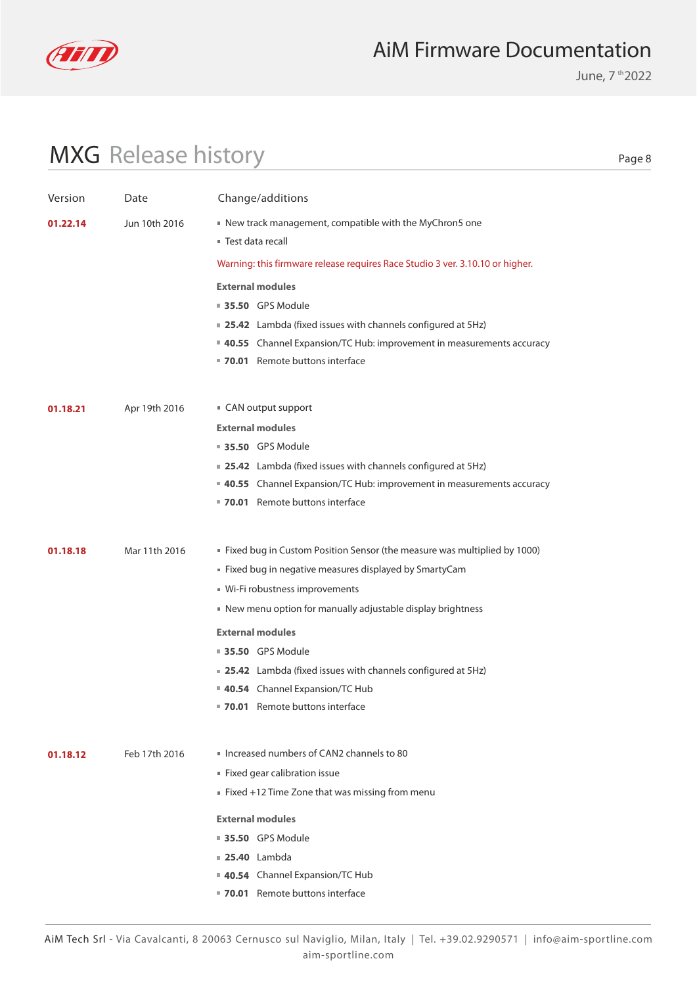

June, 7 th 2022

# MXG Release history

| Version  | Date          | Change/additions                                                              |
|----------|---------------|-------------------------------------------------------------------------------|
| 01.22.14 | Jun 10th 2016 | New track management, compatible with the MyChron5 one                        |
|          |               | ■ Test data recall                                                            |
|          |               | Warning: this firmware release requires Race Studio 3 ver. 3.10.10 or higher. |
|          |               | <b>External modules</b>                                                       |
|          |               | <b>35.50 GPS Module</b>                                                       |
|          |               | ■ 25.42 Lambda (fixed issues with channels configured at 5Hz)                 |
|          |               | ■ 40.55 Channel Expansion/TC Hub: improvement in measurements accuracy        |
|          |               | 70.01 Remote buttons interface                                                |
|          |               |                                                                               |
| 01.18.21 | Apr 19th 2016 | CAN output support                                                            |
|          |               | <b>External modules</b>                                                       |
|          |               | ■ 35.50 GPS Module                                                            |
|          |               | ■ 25.42 Lambda (fixed issues with channels configured at 5Hz)                 |
|          |               | ■ 40.55 Channel Expansion/TC Hub: improvement in measurements accuracy        |
|          |               | ■ 70.01 Remote buttons interface                                              |
|          |               |                                                                               |
| 01.18.18 | Mar 11th 2016 | ■ Fixed bug in Custom Position Sensor (the measure was multiplied by 1000)    |
|          |               | ■ Fixed bug in negative measures displayed by SmartyCam                       |
|          |               | ■ Wi-Fi robustness improvements                                               |
|          |               | New menu option for manually adjustable display brightness                    |
|          |               | <b>External modules</b>                                                       |
|          |               | ■ 35.50 GPS Module                                                            |
|          |               | <b>25.42</b> Lambda (fixed issues with channels configured at 5Hz)            |
|          |               | 40.54 Channel Expansion/TC Hub                                                |
|          |               | 70.01 Remote buttons interface                                                |
|          |               |                                                                               |
| 01.18.12 | Feb 17th 2016 | Increased numbers of CAN2 channels to 80                                      |
|          |               | Fixed gear calibration issue                                                  |
|          |               | Fixed +12 Time Zone that was missing from menu                                |
|          |               | <b>External modules</b>                                                       |
|          |               | ■ 35.50 GPS Module                                                            |
|          |               | <b>25.40</b> Lambda                                                           |
|          |               | 40.54 Channel Expansion/TC Hub                                                |
|          |               | 70.01 Remote buttons interface                                                |
|          |               |                                                                               |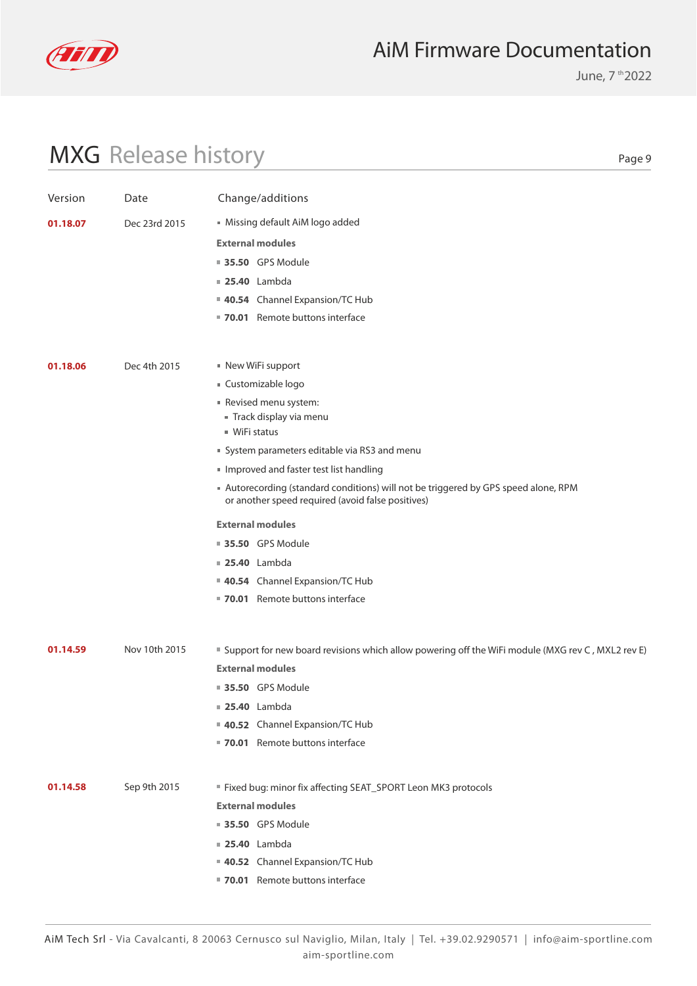

June, 7 th 2022

# MXG Release history

| Version  | Date          | Change/additions                                                                                                                       |
|----------|---------------|----------------------------------------------------------------------------------------------------------------------------------------|
| 01.18.07 | Dec 23rd 2015 | Missing default AiM logo added                                                                                                         |
|          |               | <b>External modules</b>                                                                                                                |
|          |               | <b>35.50</b> GPS Module                                                                                                                |
|          |               | <b>25.40</b> Lambda                                                                                                                    |
|          |               | 40.54 Channel Expansion/TC Hub                                                                                                         |
|          |               | ■ 70.01 Remote buttons interface                                                                                                       |
|          |               |                                                                                                                                        |
| 01.18.06 | Dec 4th 2015  | ■ New WiFi support                                                                                                                     |
|          |               | ■ Customizable logo                                                                                                                    |
|          |               | Revised menu system:                                                                                                                   |
|          |               | Track display via menu                                                                                                                 |
|          |               | ■ WiFi status                                                                                                                          |
|          |               | System parameters editable via RS3 and menu                                                                                            |
|          |               | Improved and faster test list handling                                                                                                 |
|          |               | Autorecording (standard conditions) will not be triggered by GPS speed alone, RPM<br>or another speed required (avoid false positives) |
|          |               | <b>External modules</b>                                                                                                                |
|          |               | <b>35.50</b> GPS Module                                                                                                                |
|          |               | <b>25.40</b> Lambda                                                                                                                    |
|          |               | 40.54 Channel Expansion/TC Hub                                                                                                         |
|          |               | ■ 70.01 Remote buttons interface                                                                                                       |
|          |               |                                                                                                                                        |
| 01.14.59 | Nov 10th 2015 | ■ Support for new board revisions which allow powering off the WiFi module (MXG rev C, MXL2 rev E)                                     |
|          |               | <b>External modules</b>                                                                                                                |
|          |               | <b>35.50</b> GPS Module                                                                                                                |
|          |               | <b>25.40</b> Lambda                                                                                                                    |
|          |               | 40.52 Channel Expansion/TC Hub                                                                                                         |
|          |               | 70.01 Remote buttons interface                                                                                                         |
|          |               |                                                                                                                                        |
| 01.14.58 | Sep 9th 2015  | " Fixed bug: minor fix affecting SEAT_SPORT Leon MK3 protocols                                                                         |
|          |               | <b>External modules</b>                                                                                                                |
|          |               | <b>35.50 GPS Module</b>                                                                                                                |
|          |               | <b>25.40</b> Lambda                                                                                                                    |
|          |               | 40.52 Channel Expansion/TC Hub                                                                                                         |
|          |               | 70.01 Remote buttons interface                                                                                                         |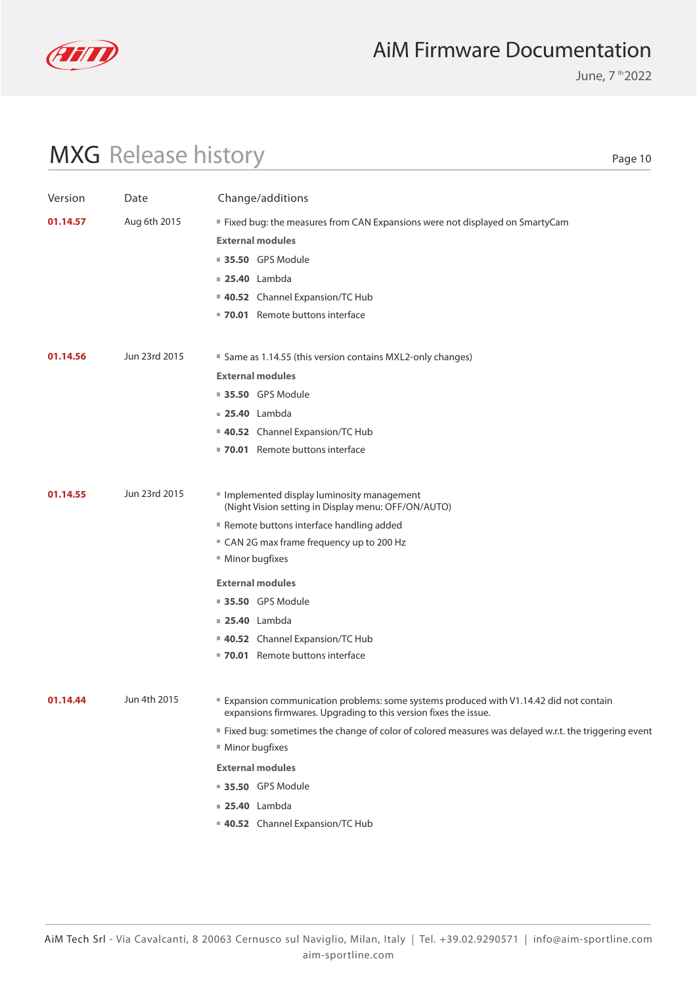

June, 7 th 2022

# MXG Release history

| Version  | Date          | Change/additions                                                                                                                                          |
|----------|---------------|-----------------------------------------------------------------------------------------------------------------------------------------------------------|
| 01.14.57 | Aug 6th 2015  | " Fixed bug: the measures from CAN Expansions were not displayed on SmartyCam                                                                             |
|          |               | <b>External modules</b>                                                                                                                                   |
|          |               | <b>35.50 GPS Module</b>                                                                                                                                   |
|          |               | <b>25.40</b> Lambda                                                                                                                                       |
|          |               | 40.52 Channel Expansion/TC Hub                                                                                                                            |
|          |               | 70.01 Remote buttons interface                                                                                                                            |
|          |               |                                                                                                                                                           |
| 01.14.56 | Jun 23rd 2015 | ■ Same as 1.14.55 (this version contains MXL2-only changes)                                                                                               |
|          |               | <b>External modules</b>                                                                                                                                   |
|          |               | <b>35.50</b> GPS Module                                                                                                                                   |
|          |               | <b>25.40</b> Lambda                                                                                                                                       |
|          |               | 40.52 Channel Expansion/TC Hub                                                                                                                            |
|          |               | ■ 70.01 Remote buttons interface                                                                                                                          |
|          |               |                                                                                                                                                           |
| 01.14.55 | Jun 23rd 2015 | Implemented display luminosity management<br>(Night Vision setting in Display menu: OFF/ON/AUTO)                                                          |
|          |               | Remote buttons interface handling added                                                                                                                   |
|          |               | " CAN 2G max frame frequency up to 200 Hz                                                                                                                 |
|          |               | ■ Minor bugfixes                                                                                                                                          |
|          |               | <b>External modules</b>                                                                                                                                   |
|          |               | ■ 35.50 GPS Module                                                                                                                                        |
|          |               | <b>25.40</b> Lambda                                                                                                                                       |
|          |               | 40.52 Channel Expansion/TC Hub                                                                                                                            |
|          |               | ■ 70.01 Remote buttons interface                                                                                                                          |
|          |               |                                                                                                                                                           |
| 01.14.44 | Jun 4th 2015  | Expansion communication problems: some systems produced with V1.14.42 did not contain<br>expansions firmwares. Upgrading to this version fixes the issue. |
|          |               | If ixed bug: sometimes the change of color of colored measures was delayed w.r.t. the triggering event                                                    |
|          |               | Minor bugfixes                                                                                                                                            |
|          |               | <b>External modules</b>                                                                                                                                   |
|          |               | <b>35.50 GPS Module</b>                                                                                                                                   |
|          |               | <b>25.40</b> Lambda                                                                                                                                       |
|          |               | 40.52 Channel Expansion/TC Hub                                                                                                                            |
|          |               |                                                                                                                                                           |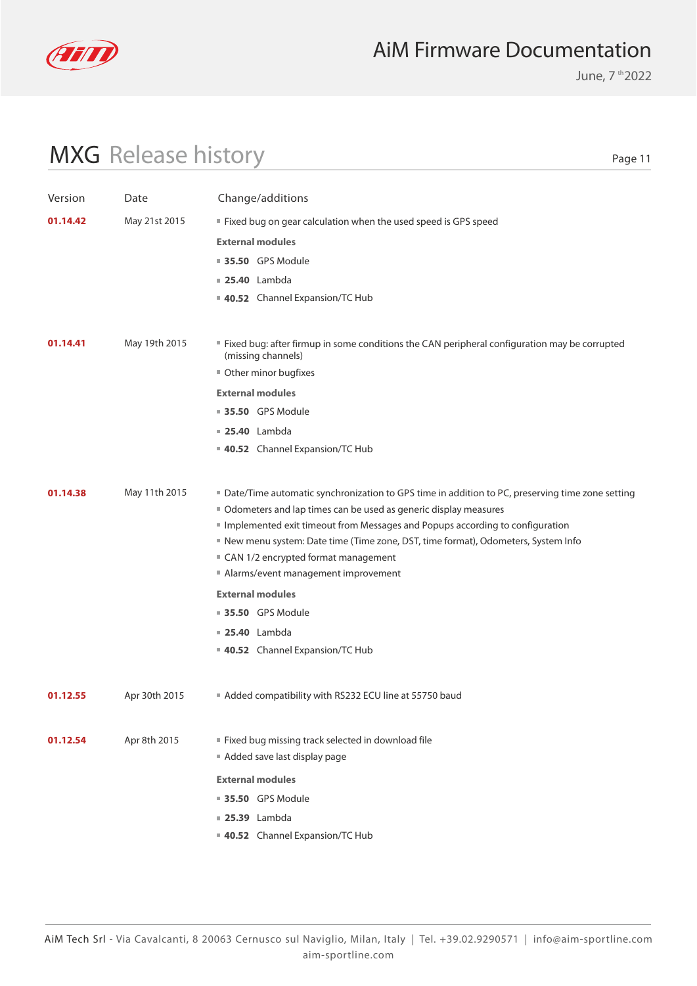

June, 7 th 2022

# MXG Release history

| Version  | Date          | Change/additions                                                                                                                                                 |
|----------|---------------|------------------------------------------------------------------------------------------------------------------------------------------------------------------|
| 01.14.42 | May 21st 2015 | " Fixed bug on gear calculation when the used speed is GPS speed                                                                                                 |
|          |               | <b>External modules</b>                                                                                                                                          |
|          |               | <b>35.50</b> GPS Module                                                                                                                                          |
|          |               | $\blacksquare$ 25.40 Lambda                                                                                                                                      |
|          |               | 40.52 Channel Expansion/TC Hub                                                                                                                                   |
|          |               |                                                                                                                                                                  |
| 01.14.41 | May 19th 2015 | " Fixed bug: after firmup in some conditions the CAN peripheral configuration may be corrupted<br>(missing channels)                                             |
|          |               | Other minor bugfixes                                                                                                                                             |
|          |               | <b>External modules</b>                                                                                                                                          |
|          |               | <b>35.50</b> GPS Module                                                                                                                                          |
|          |               | $\blacksquare$ 25.40 Lambda                                                                                                                                      |
|          |               | 40.52 Channel Expansion/TC Hub                                                                                                                                   |
|          |               |                                                                                                                                                                  |
| 01.14.38 | May 11th 2015 | ■ Date/Time automatic synchronization to GPS time in addition to PC, preserving time zone setting                                                                |
|          |               | Odometers and lap times can be used as generic display measures                                                                                                  |
|          |               | Implemented exit timeout from Messages and Popups according to configuration<br>New menu system: Date time (Time zone, DST, time format), Odometers, System Info |
|          |               | ■ CAN 1/2 encrypted format management                                                                                                                            |
|          |               | Alarms/event management improvement                                                                                                                              |
|          |               | <b>External modules</b>                                                                                                                                          |
|          |               | <b>35.50</b> GPS Module                                                                                                                                          |
|          |               | $\blacksquare$ 25.40 Lambda                                                                                                                                      |
|          |               | 40.52 Channel Expansion/TC Hub                                                                                                                                   |
|          |               |                                                                                                                                                                  |
| 01.12.55 | Apr 30th 2015 | Added compatibility with RS232 ECU line at 55750 baud                                                                                                            |
| 01.12.54 | Apr 8th 2015  | " Fixed bug missing track selected in download file<br>Added save last display page                                                                              |
|          |               | <b>External modules</b>                                                                                                                                          |
|          |               | <b>35.50 GPS Module</b>                                                                                                                                          |
|          |               | <b>25.39</b> Lambda                                                                                                                                              |
|          |               | 40.52 Channel Expansion/TC Hub                                                                                                                                   |
|          |               |                                                                                                                                                                  |